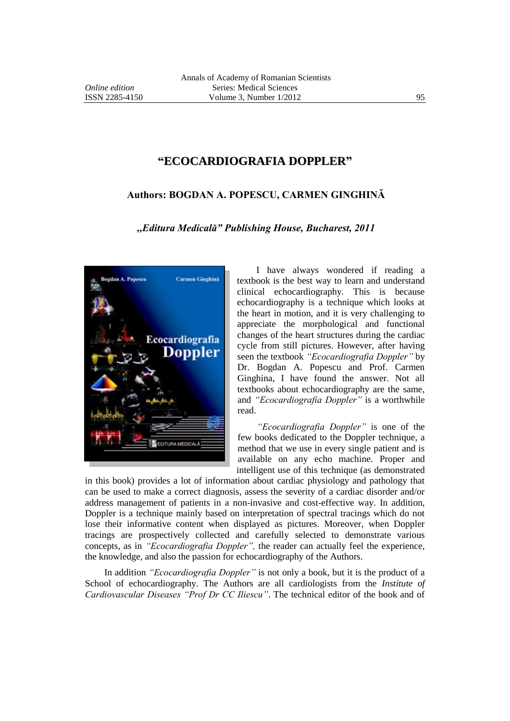## **"ECOCARDIOGRAFIA DOPPLER"**

## **Authors: BOGDAN A. POPESCU, CARMEN GINGHINĂ**

*,,Editura Medicală" Publishing House, Bucharest, 2011*



I have always wondered if reading a textbook is the best way to learn and understand clinical echocardiography. This is because echocardiography is a technique which looks at the heart in motion, and it is very challenging to appreciate the morphological and functional changes of the heart structures during the cardiac cycle from still pictures. However, after having seen the textbook *"Ecocardiografia Doppler"* by Dr. Bogdan A. Popescu and Prof. Carmen Ginghina, I have found the answer. Not all textbooks about echocardiography are the same, and *"Ecocardiografia Doppler"* is a worthwhile read.

*"Ecocardiografia Doppler"* is one of the few books dedicated to the Doppler technique, a method that we use in every single patient and is available on any echo machine. Proper and intelligent use of this technique (as demonstrated

in this book) provides a lot of information about cardiac physiology and pathology that can be used to make a correct diagnosis, assess the severity of a cardiac disorder and/or address management of patients in a non-invasive and cost-effective way. In addition, Doppler is a technique mainly based on interpretation of spectral tracings which do not lose their informative content when displayed as pictures. Moreover, when Doppler tracings are prospectively collected and carefully selected to demonstrate various concepts, as in *"Ecocardiografia Doppler",* the reader can actually feel the experience, the knowledge, and also the passion for echocardiography of the Authors.

In addition *"Ecocardiografia Doppler"* is not only a book, but it is the product of a School of echocardiography. The Authors are all cardiologists from the *Institute of Cardiovascular Diseases "Prof Dr CC Iliescu"*. The technical editor of the book and of